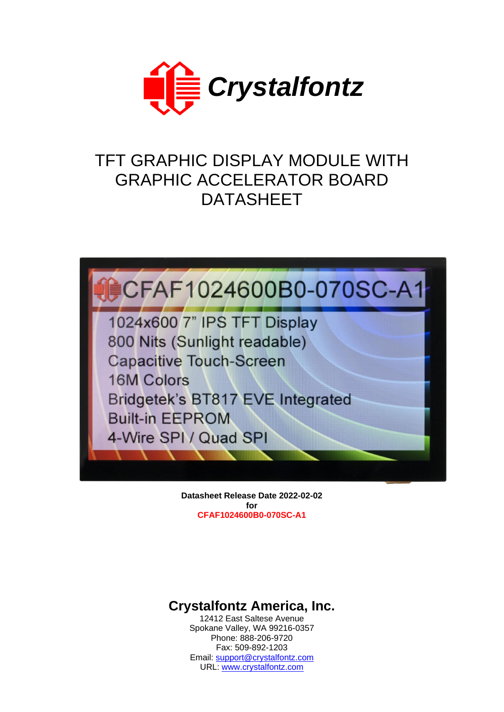

# TFT GRAPHIC DISPLAY MODULE WITH GRAPHIC ACCELERATOR BOARD DATASHEET



**Datasheet Release Date 2022-02-02 for CFAF1024600B0-070SC-A1**

# **Crystalfontz America, Inc.**

12412 East Saltese Avenue Spokane Valley, WA 99216-0357 Phone: 888-206-9720 Fax: 509-892-1203 Email: [support@crystalfontz.com](mailto:support@crystalfontz.com) URL: [www.crystalfontz.com](https://www.crystalfontz.com/)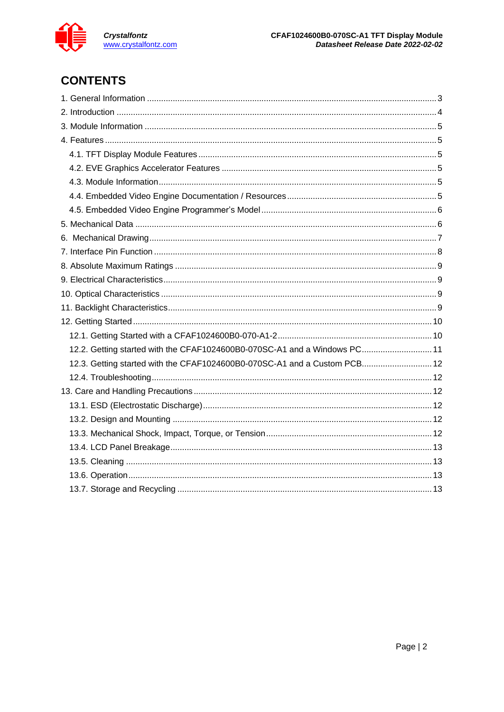

# **CONTENTS**

| 12.2. Getting started with the CFAF1024600B0-070SC-A1 and a Windows PC 11 |  |
|---------------------------------------------------------------------------|--|
| 12.3. Getting started with the CFAF1024600B0-070SC-A1 and a Custom PCB12  |  |
|                                                                           |  |
|                                                                           |  |
|                                                                           |  |
|                                                                           |  |
|                                                                           |  |
|                                                                           |  |
|                                                                           |  |
|                                                                           |  |
|                                                                           |  |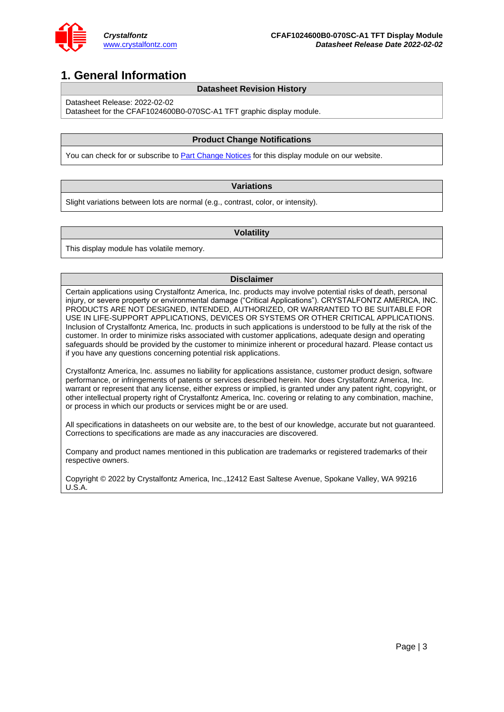

### <span id="page-2-0"></span>**1. General Information**

#### **Datasheet Revision History**

Datasheet Release: 2022-02-02

Datasheet for the CFAF1024600B0-070SC-A1 TFT graphic display module.

#### **Product Change Notifications**

You can check for or subscribe t[o Part Change Notices](https://www.crystalfontz.com/news/pcn.php) for this display module on our website.

#### **Variations**

Slight variations between lots are normal (e.g., contrast, color, or intensity).

#### **Volatility**

This display module has volatile memory.

#### **Disclaimer**

Certain applications using Crystalfontz America, Inc. products may involve potential risks of death, personal injury, or severe property or environmental damage ("Critical Applications"). CRYSTALFONTZ AMERICA, INC. PRODUCTS ARE NOT DESIGNED, INTENDED, AUTHORIZED, OR WARRANTED TO BE SUITABLE FOR USE IN LIFE-SUPPORT APPLICATIONS, DEVICES OR SYSTEMS OR OTHER CRITICAL APPLICATIONS. Inclusion of Crystalfontz America, Inc. products in such applications is understood to be fully at the risk of the customer. In order to minimize risks associated with customer applications, adequate design and operating safeguards should be provided by the customer to minimize inherent or procedural hazard. Please contact us if you have any questions concerning potential risk applications.

Crystalfontz America, Inc. assumes no liability for applications assistance, customer product design, software performance, or infringements of patents or services described herein. Nor does Crystalfontz America, Inc. warrant or represent that any license, either express or implied, is granted under any patent right, copyright, or other intellectual property right of Crystalfontz America, Inc. covering or relating to any combination, machine, or process in which our products or services might be or are used.

All specifications in datasheets on our website are, to the best of our knowledge, accurate but not guaranteed. Corrections to specifications are made as any inaccuracies are discovered.

Company and product names mentioned in this publication are trademarks or registered trademarks of their respective owners.

Copyright © 2022 by Crystalfontz America, Inc.,12412 East Saltese Avenue, Spokane Valley, WA 99216 U.S.A.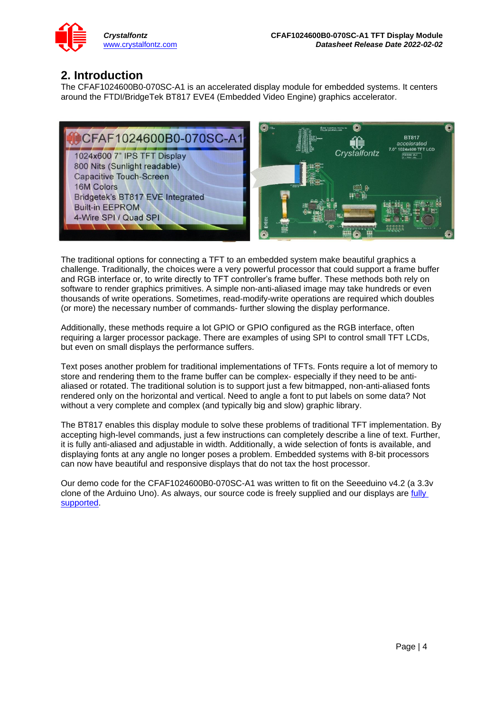

### <span id="page-3-0"></span>**2. Introduction**

The CFAF1024600B0-070SC-A1 is an accelerated display module for embedded systems. It centers around the FTDI/BridgeTek BT817 EVE4 (Embedded Video Engine) graphics accelerator.



The traditional options for connecting a TFT to an embedded system make beautiful graphics a challenge. Traditionally, the choices were a very powerful processor that could support a frame buffer and RGB interface or, to write directly to TFT controller's frame buffer. These methods both rely on software to render graphics primitives. A simple non-anti-aliased image may take hundreds or even thousands of write operations. Sometimes, read-modify-write operations are required which doubles (or more) the necessary number of commands- further slowing the display performance.

Additionally, these methods require a lot GPIO or GPIO configured as the RGB interface, often requiring a larger processor package. There are examples of using SPI to control small TFT LCDs, but even on small displays the performance suffers.

Text poses another problem for traditional implementations of TFTs. Fonts require a lot of memory to store and rendering them to the frame buffer can be complex- especially if they need to be antialiased or rotated. The traditional solution is to support just a few bitmapped, non-anti-aliased fonts rendered only on the horizontal and vertical. Need to angle a font to put labels on some data? Not without a very complete and complex (and typically big and slow) graphic library.

The BT817 enables this display module to solve these problems of traditional TFT implementation. By accepting high-level commands, just a few instructions can completely describe a line of text. Further, it is fully anti-aliased and adjustable in width. Additionally, a wide selection of fonts is available, and displaying fonts at any angle no longer poses a problem. Embedded systems with 8-bit processors can now have beautiful and responsive displays that do not tax the host processor.

Our demo code for the CFAF1024600B0-070SC-A1 was written to fit on the Seeeduino v4.2 (a 3.3v clone of the Arduino Uno). As always, our source code is freely supplied and our displays are [fully](https://www.crystalfontz.com/support)  [supported.](https://www.crystalfontz.com/support)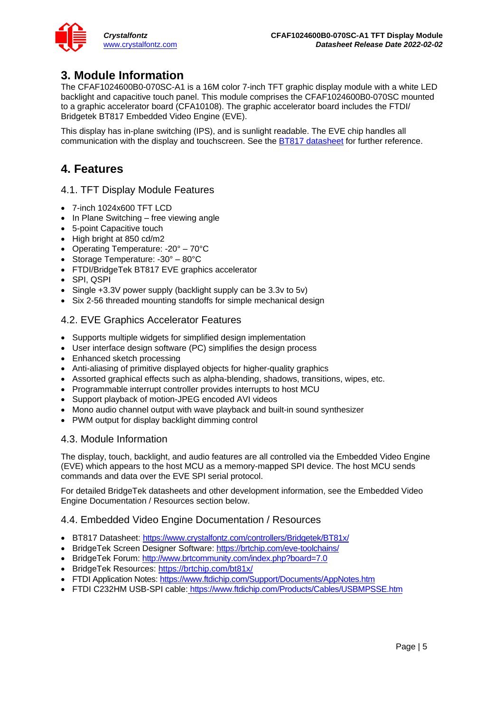### <span id="page-4-0"></span>**3. Module Information**

The CFAF1024600B0-070SC-A1 is a 16M color 7-inch TFT graphic display module with a white LED backlight and capacitive touch panel. This module comprises the CFAF1024600B0-070SC mounted to a graphic accelerator board (CFA10108). The graphic accelerator board includes the FTDI/ Bridgetek BT817 Embedded Video Engine (EVE).

This display has in-plane switching (IPS), and is sunlight readable. The EVE chip handles all communication with the display and touchscreen. See the **BT817** datasheet for further reference.

# <span id="page-4-1"></span>**4. Features**

### <span id="page-4-2"></span>4.1. TFT Display Module Features

- 7-inch 1024x600 TFT LCD
- In Plane Switching free viewing angle
- 5-point Capacitive touch
- High bright at 850 cd/m2
- Operating Temperature: -20° 70°C
- Storage Temperature: -30° 80°C
- FTDI/BridgeTek BT817 EVE graphics accelerator
- SPI, QSPI
- Single +3.3V power supply (backlight supply can be 3.3v to 5v)
- Six 2-56 threaded mounting standoffs for simple mechanical design

### <span id="page-4-3"></span>4.2. EVE Graphics Accelerator Features

- Supports multiple widgets for simplified design implementation
- User interface design software (PC) simplifies the design process
- Enhanced sketch processing
- Anti-aliasing of primitive displayed objects for higher-quality graphics
- Assorted graphical effects such as alpha-blending, shadows, transitions, wipes, etc.
- Programmable interrupt controller provides interrupts to host MCU
- Support playback of motion-JPEG encoded AVI videos
- Mono audio channel output with wave playback and built-in sound synthesizer
- PWM output for display backlight dimming control

### <span id="page-4-4"></span>4.3. Module Information

The display, touch, backlight, and audio features are all controlled via the Embedded Video Engine (EVE) which appears to the host MCU as a memory-mapped SPI device. The host MCU sends commands and data over the EVE SPI serial protocol.

For detailed BridgeTek datasheets and other development information, see the [Embedded Video](#page-4-5)  [Engine Documentation / Resources](#page-4-5) section below.

### <span id="page-4-5"></span>4.4. Embedded Video Engine Documentation / Resources

- BT817 Datasheet: <https://www.crystalfontz.com/controllers/Bridgetek/BT81x/>
- BridgeTek Screen Designer Software:<https://brtchip.com/eve-toolchains/>
- BridgeTek Forum:<http://www.brtcommunity.com/index.php?board=7.0>
- BridgeTek Resources:<https://brtchip.com/bt81x/>
- FTDI Application Notes:<https://www.ftdichip.com/Support/Documents/AppNotes.htm>
- FTDI C232HM USB-SPI cable: <https://www.ftdichip.com/Products/Cables/USBMPSSE.htm>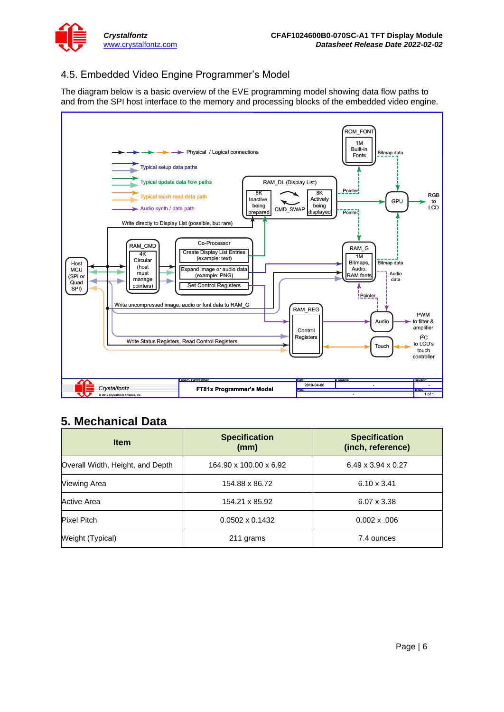

### <span id="page-5-0"></span>4.5. Embedded Video Engine Programmer's Model

The diagram below is a basic overview of the EVE programming model showing data flow paths to and from the SPI host interface to the memory and processing blocks of the embedded video engine.



### <span id="page-5-1"></span>**5. Mechanical Data**

| <b>Item</b>                      | <b>Specification</b><br>(mm) | <b>Specification</b><br>(inch, reference) |  |  |
|----------------------------------|------------------------------|-------------------------------------------|--|--|
| Overall Width, Height, and Depth | 164.90 x 100.00 x 6.92       | $6.49 \times 3.94 \times 0.27$            |  |  |
| Viewing Area                     | 154.88 x 86.72               | $6.10 \times 3.41$                        |  |  |
| <b>Active Area</b>               | 154.21 x 85.92               | $6.07 \times 3.38$                        |  |  |
| <b>Pixel Pitch</b>               | $0.0502 \times 0.1432$       | $0.002 \times 0.006$                      |  |  |
| Weight (Typical)                 | 211 grams                    | 7.4 ounces                                |  |  |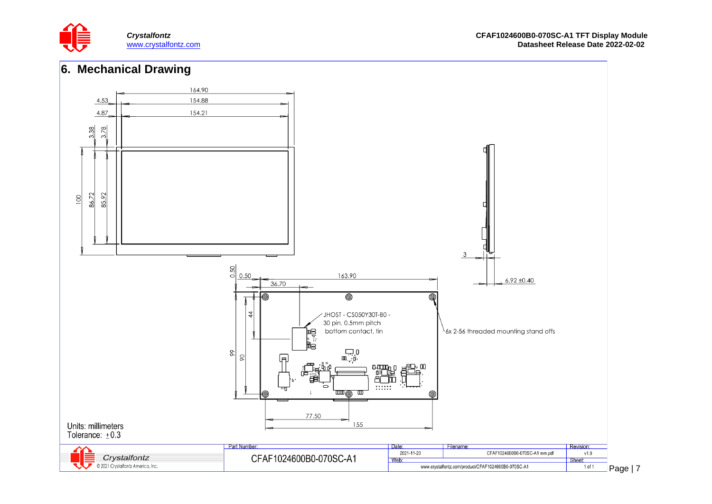



<span id="page-6-0"></span>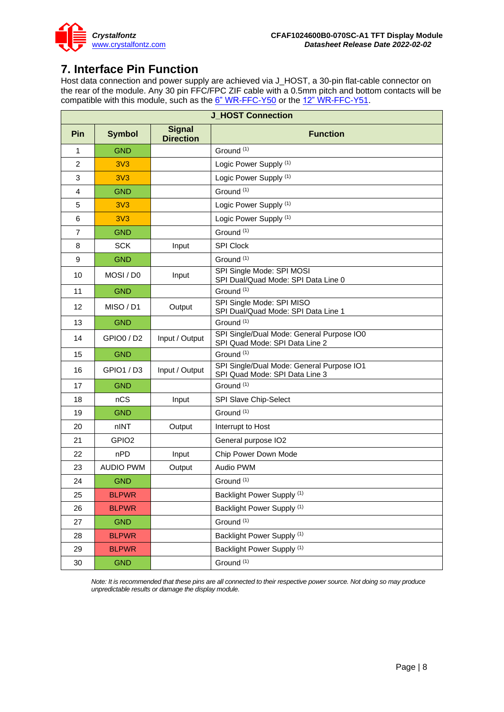

## <span id="page-7-0"></span>**7. Interface Pin Function**

Host data connection and power supply are achieved via J\_HOST, a 30-pin flat-cable connector on the rear of the module. Any 30 pin FFC/FPC ZIF cable with a 0.5mm pitch and bottom contacts will be compatible with this module, such as the  $6"$  WR-FFC-Y50 or the  $12"$  WR-FFC-Y51.

|                | <b>J HOST Connection</b> |                                   |                                                                             |  |  |  |
|----------------|--------------------------|-----------------------------------|-----------------------------------------------------------------------------|--|--|--|
| Pin            | <b>Symbol</b>            | <b>Signal</b><br><b>Direction</b> | <b>Function</b>                                                             |  |  |  |
| 1              | <b>GND</b>               |                                   | Ground <sup>(1)</sup>                                                       |  |  |  |
| $\overline{2}$ | 3V <sub>3</sub>          |                                   | Logic Power Supply (1)                                                      |  |  |  |
| 3              | 3V <sub>3</sub>          |                                   | Logic Power Supply (1)                                                      |  |  |  |
| 4              | GND                      |                                   | Ground <sup>(1)</sup>                                                       |  |  |  |
| 5              | 3V <sub>3</sub>          |                                   | Logic Power Supply (1)                                                      |  |  |  |
| 6              | 3V <sub>3</sub>          |                                   | Logic Power Supply (1)                                                      |  |  |  |
| 7              | <b>GND</b>               |                                   | Ground <sup>(1)</sup>                                                       |  |  |  |
| 8              | <b>SCK</b>               | Input                             | <b>SPI Clock</b>                                                            |  |  |  |
| 9              | <b>GND</b>               |                                   | Ground <sup>(1)</sup>                                                       |  |  |  |
| 10             | MOSI / DO                | Input                             | SPI Single Mode: SPI MOSI<br>SPI Dual/Quad Mode: SPI Data Line 0            |  |  |  |
| 11             | <b>GND</b>               |                                   | Ground <sup>(1)</sup>                                                       |  |  |  |
| 12             | MISO / D1                | Output                            | SPI Single Mode: SPI MISO<br>SPI Dual/Quad Mode: SPI Data Line 1            |  |  |  |
| 13             | <b>GND</b>               |                                   | Ground <sup>(1)</sup>                                                       |  |  |  |
| 14             | GPIO0 / D2               | Input / Output                    | SPI Single/Dual Mode: General Purpose IO0<br>SPI Quad Mode: SPI Data Line 2 |  |  |  |
| 15             | <b>GND</b>               |                                   | Ground <sup>(1)</sup>                                                       |  |  |  |
| 16             | GPIO1 / D3               | Input / Output                    | SPI Single/Dual Mode: General Purpose IO1<br>SPI Quad Mode: SPI Data Line 3 |  |  |  |
| 17             | <b>GND</b>               |                                   | Ground <sup>(1)</sup>                                                       |  |  |  |
| 18             | nCS                      | Input                             | SPI Slave Chip-Select                                                       |  |  |  |
| 19             | <b>GND</b>               |                                   | Ground <sup>(1)</sup>                                                       |  |  |  |
| 20             | nINT                     | Output                            | Interrupt to Host                                                           |  |  |  |
| 21             | GPIO <sub>2</sub>        |                                   | General purpose IO2                                                         |  |  |  |
| 22             | nPD                      | Input                             | Chip Power Down Mode                                                        |  |  |  |
| 23             | <b>AUDIO PWM</b>         | Output                            | Audio PWM                                                                   |  |  |  |
| 24             | <b>GND</b>               |                                   | Ground <sup>(1)</sup>                                                       |  |  |  |
| 25             | <b>BLPWR</b>             |                                   | Backlight Power Supply (1)                                                  |  |  |  |
| 26             | <b>BLPWR</b>             |                                   | Backlight Power Supply (1)                                                  |  |  |  |
| 27             | <b>GND</b>               |                                   | Ground <sup>(1)</sup>                                                       |  |  |  |
| 28             | <b>BLPWR</b>             |                                   | Backlight Power Supply (1)                                                  |  |  |  |
| 29             | <b>BLPWR</b>             |                                   | Backlight Power Supply <sup>(1)</sup>                                       |  |  |  |
| $30\,$         | <b>GND</b>               |                                   | Ground <sup>(1)</sup>                                                       |  |  |  |

*Note: It is recommended that these pins are all connected to their respective power source. Not doing so may produce unpredictable results or damage the display module.*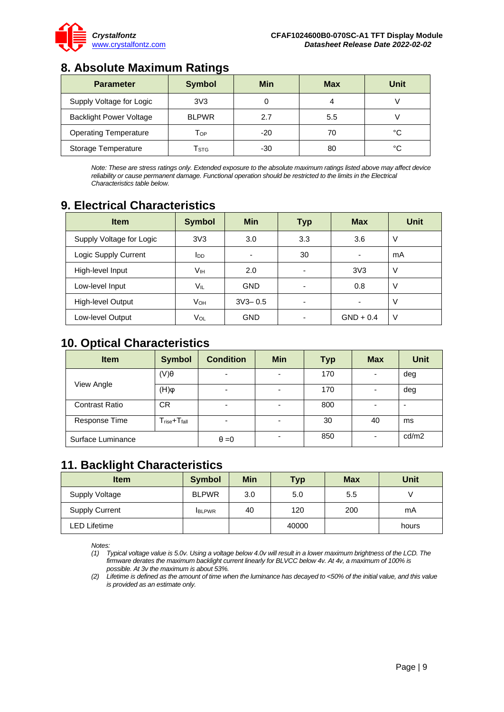

# <span id="page-8-0"></span>**8. Absolute Maximum Ratings**

| <b>Parameter</b>               | <b>Symbol</b>               | Min   | <b>Max</b> | Unit |
|--------------------------------|-----------------------------|-------|------------|------|
| Supply Voltage for Logic       | 3V3                         |       | 4          |      |
| <b>Backlight Power Voltage</b> | <b>BLPWR</b>                | 2.7   | 5.5        |      |
| <b>Operating Temperature</b>   | Тор                         | $-20$ | 70         | °C   |
| Storage Temperature            | $\mathsf{T}_{\textsf{STG}}$ | -30   | 80         | °C   |

*Note: These are stress ratings only. Extended exposure to the absolute maximum ratings listed above may affect device reliability or cause permanent damage. Functional operation should be restricted to the limits in the Electrical Characteristics table below.*

## <span id="page-8-1"></span>**9. Electrical Characteristics**

| <b>Item</b>              | <b>Symbol</b>   | <b>Min</b>               | Typ                      | <b>Max</b>      | <b>Unit</b> |
|--------------------------|-----------------|--------------------------|--------------------------|-----------------|-------------|
| Supply Voltage for Logic | 3V <sub>3</sub> | 3.0                      | 3.3                      | 3.6             | $\vee$      |
| Logic Supply Current     | ldd             | $\overline{\phantom{0}}$ | 30                       | -               | mA          |
| High-level Input         | Vıн             | 2.0                      | $\overline{\phantom{0}}$ | 3V <sub>3</sub> | V           |
| Low-level Input          | VIL             | <b>GND</b>               |                          | 0.8             | V           |
| High-level Output        | Vон             | $3V3 - 0.5$              | -                        |                 | $\vee$      |
| Low-level Output         | Vol             | <b>GND</b>               | $\overline{\phantom{0}}$ | $GND + 0.4$     | $\vee$      |

## <span id="page-8-2"></span>**10. Optical Characteristics**

| <b>Item</b>           | <b>Symbol</b>                       | <b>Condition</b>         | <b>Min</b>               | <b>Typ</b> | <b>Max</b> | <b>Unit</b> |
|-----------------------|-------------------------------------|--------------------------|--------------------------|------------|------------|-------------|
| View Angle            | $(V)\theta$                         | -                        | ٠                        | 170        |            | deg         |
|                       | $\varphi(H)$                        | $\overline{\phantom{0}}$ | -                        | 170        |            | deg         |
| <b>Contrast Ratio</b> | <b>CR</b>                           | -                        | $\overline{\phantom{0}}$ | 800        | ۰          | -           |
| Response Time         | $T_{\text{rise}} + T_{\text{fall}}$ | $\overline{\phantom{0}}$ | $\overline{\phantom{0}}$ | 30         | 40         | ms          |
| Surface Luminance     |                                     | $\theta = 0$             | $\overline{\phantom{0}}$ | 850        | -          | cd/m2       |

### <span id="page-8-3"></span>**11. Backlight Characteristics**

| <b>Item</b>           | <b>Symbol</b> | <b>Min</b> | <b>Typ</b> | Max | Unit  |
|-----------------------|---------------|------------|------------|-----|-------|
| Supply Voltage        | <b>BLPWR</b>  | 3.0        | 5.0        | 5.5 |       |
| <b>Supply Current</b> | <b>IBLPWR</b> | 40         | 120        | 200 | mA    |
| LED Lifetime          |               |            | 40000      |     | hours |

*Notes:* 

*<sup>(1)</sup> Typical voltage value is 5.0v. Using a voltage below 4.0v will result in a lower maximum brightness of the LCD. The firmware derates the maximum backlight current linearly for BLVCC below 4v. At 4v, a maximum of 100% is possible. At 3v the maximum is about 53%.*

*<sup>(2)</sup> Lifetime is defined as the amount of time when the luminance has decayed to <50% of the initial value, and this value is provided as an estimate only.*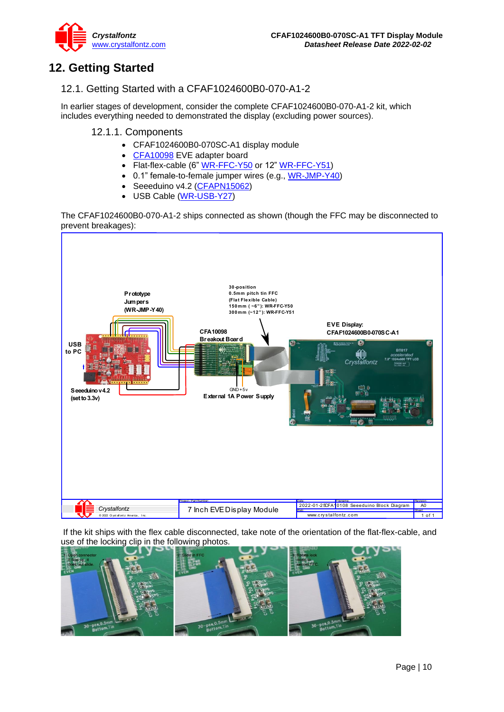

# <span id="page-9-0"></span>**12. Getting Started**

### <span id="page-9-1"></span>12.1. Getting Started with a CFAF1024600B0-070-A1-2

In earlier stages of development, consider the complete CFAF1024600B0-070-A1-2 kit, which includes everything needed to demonstrated the display (excluding power sources).

#### 12.1.1. Components

- CFAF1024600B0-070SC-A1 display module
- [CFA10098](https://www.crystalfontz.com/product/cfa10098) EVE adapter board
- Flat-flex-cable (6" [WR-FFC-Y50](https://www.crystalfontz.com/product/wrffcy50) or 12" [WR-FFC-Y51\)](https://www.crystalfontz.com/product/wrffcy51)
- 0.1" female-to-female jumper wires (e.g., [WR-JMP-Y40\)](https://www.crystalfontz.com/product/wrjmpy40)
- Seeeduino v4.2 [\(CFAPN15062\)](https://www.crystalfontz.com/product/cfapn15062)
- USB Cable [\(WR-USB-Y27\)](https://www.crystalfontz.com/product/wrusby27)

The CFAF1024600B0-070-A1-2 ships connected as shown (though the FFC may be disconnected to prevent breakages):



If the kit ships with the flex cable disconnected, take note of the orientation of the flat-flex-cable, and use of the locking clip in the following photos.

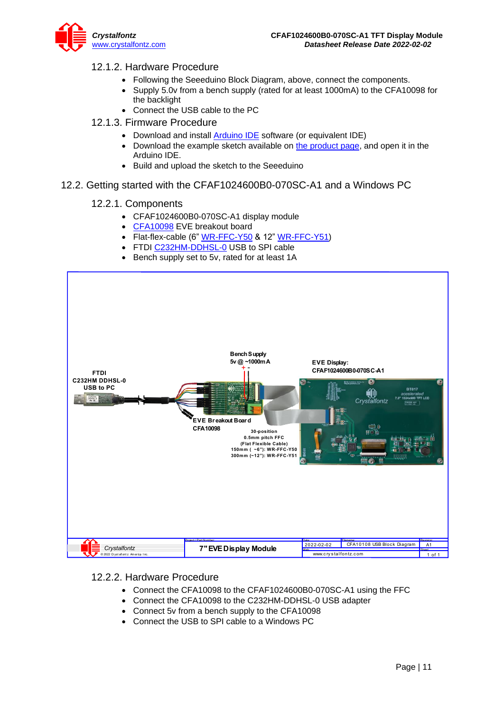### 12.1.2. Hardware Procedure

- Following the Seeeduino Block Diagram, above, connect the components.
- Supply 5.0v from a bench supply (rated for at least 1000mA) to the CFA10098 for the backlight
- Connect the USB cable to the PC
- 12.1.3. Firmware Procedure
	- Download and install [Arduino IDE](https://www.arduino.cc/en/main/software) software (or equivalent IDE)
	- Download the example sketch available on [the product page,](http://www.crystalfontz.com/product/CFAF800480E1050SCA11) and open it in the Arduino IDE.
	- Build and upload the sketch to the Seeeduino
- <span id="page-10-0"></span>12.2. Getting started with the CFAF1024600B0-070SC-A1 and a Windows PC

### 12.2.1. Components

- CFAF1024600B0-070SC-A1 display module
- [CFA10098](https://www.crystalfontz.com/product/cfa10098) EVE breakout board
- Flat-flex-cable  $(6" WR-FFC-Y50 & 12" WR-FFC-Y51)$  $(6" WR-FFC-Y50 & 12" WR-FFC-Y51)$  $(6" WR-FFC-Y50 & 12" WR-FFC-Y51)$  $(6" WR-FFC-Y50 & 12" WR-FFC-Y51)$
- FTDI [C232HM-DDHSL-0](https://www.ftdichip.com/Products/Cables/USBMPSSE.htm) USB to SPI cable
- Bench supply set to 5v, rated for at least 1A



#### 12.2.2. Hardware Procedure

- Connect the CFA10098 to the CFAF1024600B0-070SC-A1 using the FFC
- Connect the CFA10098 to the C232HM-DDHSL-0 USB adapter
- Connect 5v from a bench supply to the CFA10098
- Connect the USB to SPI cable to a Windows PC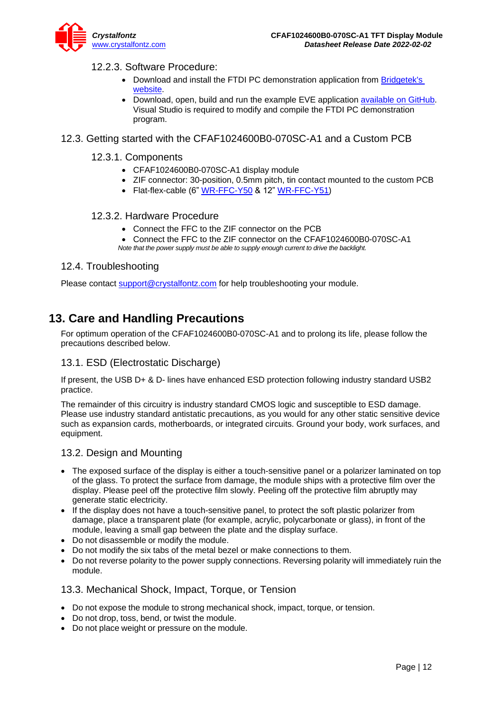

### 12.2.3. Software Procedure:

- Download and install the FTDI PC demonstration application from Bridgetek's [website.](https://brtchip.com/eve-toolchains/)
- Download, open, build and run the example EVE application [available on GitHub.](https://github.com/crystalfontz/FTDI-BridgeTek-SampleApp-for-CFAF800480E0-050SC-A1) Visual Studio is required to modify and compile the FTDI PC demonstration program.

### <span id="page-11-0"></span>12.3. Getting started with the CFAF1024600B0-070SC-A1 and a Custom PCB

#### 12.3.1. Components

- CFAF1024600B0-070SC-A1 display module
- ZIF connector: 30-position, 0.5mm pitch, tin contact mounted to the custom PCB
- Flat-flex-cable (6" [WR-FFC-Y50](https://www.crystalfontz.com/product/wrffcy50) & 12" [WR-FFC-Y51\)](https://www.crystalfontz.com/product/wrffcy51)

### 12.3.2. Hardware Procedure

- Connect the FFC to the ZIF connector on the PCB
- Connect the FFC to the ZIF connector on the CFAF1024600B0-070SC-A1
- *Note that the power supply must be able to supply enough current to drive the backlight.*

#### <span id="page-11-1"></span>12.4. Troubleshooting

Please contact [support@crystalfontz.com](mailto:support@crystalfontz.com) for help troubleshooting your module.

### <span id="page-11-2"></span>**13. Care and Handling Precautions**

For optimum operation of the CFAF1024600B0-070SC-A1 and to prolong its life, please follow the precautions described below.

### <span id="page-11-3"></span>13.1. ESD (Electrostatic Discharge)

If present, the USB D+ & D- lines have enhanced ESD protection following industry standard USB2 practice.

The remainder of this circuitry is industry standard CMOS logic and susceptible to ESD damage. Please use industry standard antistatic precautions, as you would for any other static sensitive device such as expansion cards, motherboards, or integrated circuits. Ground your body, work surfaces, and equipment.

#### <span id="page-11-4"></span>13.2. Design and Mounting

- The exposed surface of the display is either a touch-sensitive panel or a polarizer laminated on top of the glass. To protect the surface from damage, the module ships with a protective film over the display. Please peel off the protective film slowly. Peeling off the protective film abruptly may generate static electricity.
- If the display does not have a touch-sensitive panel, to protect the soft plastic polarizer from damage, place a transparent plate (for example, acrylic, polycarbonate or glass), in front of the module, leaving a small gap between the plate and the display surface.
- Do not disassemble or modify the module.
- Do not modify the six tabs of the metal bezel or make connections to them.
- Do not reverse polarity to the power supply connections. Reversing polarity will immediately ruin the module.

#### <span id="page-11-5"></span>13.3. Mechanical Shock, Impact, Torque, or Tension

- Do not expose the module to strong mechanical shock, impact, torque, or tension.
- Do not drop, toss, bend, or twist the module.
- Do not place weight or pressure on the module.